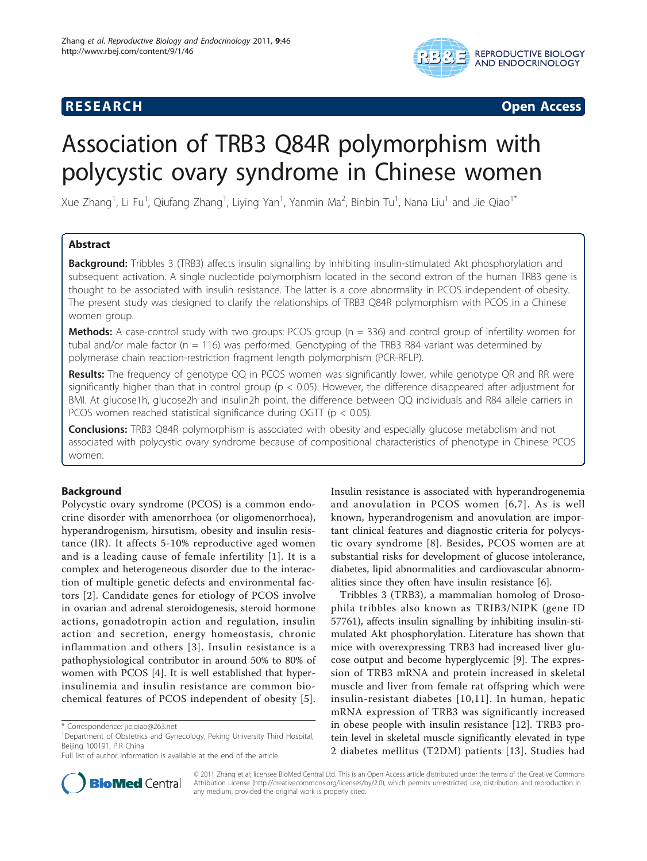## **RESEARCH CONSTRUCTION CONSTRUCTS**



# Association of TRB3 Q84R polymorphism with polycystic ovary syndrome in Chinese women

Xue Zhang<sup>1</sup>, Li Fu<sup>1</sup>, Qiufang Zhang<sup>1</sup>, Liying Yan<sup>1</sup>, Yanmin Ma<sup>2</sup>, Binbin Tu<sup>1</sup>, Nana Liu<sup>1</sup> and Jie Qiao<sup>1\*</sup>

## Abstract

**Background:** Tribbles 3 (TRB3) affects insulin signalling by inhibiting insulin-stimulated Akt phosphorylation and subsequent activation. A single nucleotide polymorphism located in the second extron of the human TRB3 gene is thought to be associated with insulin resistance. The latter is a core abnormality in PCOS independent of obesity. The present study was designed to clarify the relationships of TRB3 Q84R polymorphism with PCOS in a Chinese women group.

**Methods:** A case-control study with two groups: PCOS group  $(n = 336)$  and control group of infertility women for tubal and/or male factor (n = 116) was performed. Genotyping of the TRB3 R84 variant was determined by polymerase chain reaction-restriction fragment length polymorphism (PCR-RFLP).

**Results:** The frequency of genotype QQ in PCOS women was significantly lower, while genotype QR and RR were significantly higher than that in control group ( $p < 0.05$ ). However, the difference disappeared after adjustment for BMI. At glucose1h, glucose2h and insulin2h point, the difference between QQ individuals and R84 allele carriers in PCOS women reached statistical significance during OGTT (p < 0.05).

**Conclusions:** TRB3 Q84R polymorphism is associated with obesity and especially glucose metabolism and not associated with polycystic ovary syndrome because of compositional characteristics of phenotype in Chinese PCOS women.

## Background

Polycystic ovary syndrome (PCOS) is a common endocrine disorder with amenorrhoea (or oligomenorrhoea), hyperandrogenism, hirsutism, obesity and insulin resistance (IR). It affects 5-10% reproductive aged women and is a leading cause of female infertility [[1](#page-5-0)]. It is a complex and heterogeneous disorder due to the interaction of multiple genetic defects and environmental factors [[2](#page-5-0)]. Candidate genes for etiology of PCOS involve in ovarian and adrenal steroidogenesis, steroid hormone actions, gonadotropin action and regulation, insulin action and secretion, energy homeostasis, chronic inflammation and others [[3\]](#page-5-0). Insulin resistance is a pathophysiological contributor in around 50% to 80% of women with PCOS [[4\]](#page-5-0). It is well established that hyperinsulinemia and insulin resistance are common biochemical features of PCOS independent of obesity [[5](#page-5-0)].



Tribbles 3 (TRB3), a mammalian homolog of Drosophila tribbles also known as TRIB3/NIPK (gene ID 57761), affects insulin signalling by inhibiting insulin-stimulated Akt phosphorylation. Literature has shown that mice with overexpressing TRB3 had increased liver glucose output and become hyperglycemic [\[9](#page-5-0)]. The expression of TRB3 mRNA and protein increased in skeletal muscle and liver from female rat offspring which were insulin-resistant diabetes [[10](#page-5-0),[11](#page-5-0)]. In human, hepatic mRNA expression of TRB3 was significantly increased in obese people with insulin resistance [[12\]](#page-5-0). TRB3 protein level in skeletal muscle significantly elevated in type 2 diabetes mellitus (T2DM) patients [[13](#page-5-0)]. Studies had



© 2011 Zhang et al; licensee BioMed Central Ltd. This is an Open Access article distributed under the terms of the Creative Commons Attribution License [\(http://creativecommons.org/licenses/by/2.0](http://creativecommons.org/licenses/by/2.0)), which permits unrestricted use, distribution, and reproduction in any medium, provided the original work is properly cited.

<sup>\*</sup> Correspondence: [jie.qiao@263.net](mailto:jie.qiao@263.net)

<sup>&</sup>lt;sup>1</sup>Department of Obstetrics and Gynecology, Peking University Third Hospital, Beijing 100191, P.R China

Full list of author information is available at the end of the article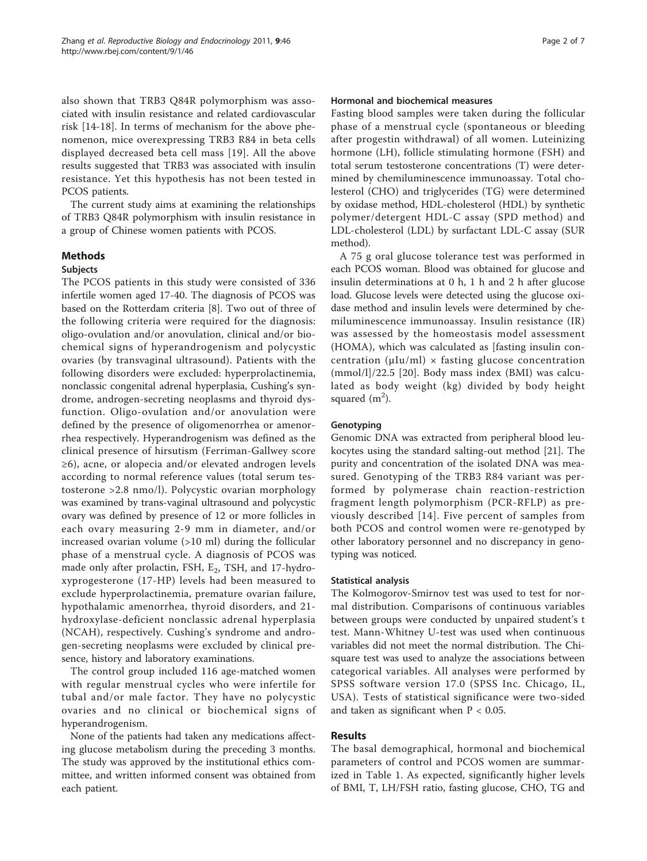also shown that TRB3 Q84R polymorphism was associated with insulin resistance and related cardiovascular risk [[14-18](#page-5-0)]. In terms of mechanism for the above phenomenon, mice overexpressing TRB3 R84 in beta cells displayed decreased beta cell mass [[19](#page-5-0)]. All the above results suggested that TRB3 was associated with insulin resistance. Yet this hypothesis has not been tested in PCOS patients.

The current study aims at examining the relationships of TRB3 Q84R polymorphism with insulin resistance in a group of Chinese women patients with PCOS.

### Methods

#### Subjects

The PCOS patients in this study were consisted of 336 infertile women aged 17-40. The diagnosis of PCOS was based on the Rotterdam criteria [[8\]](#page-5-0). Two out of three of the following criteria were required for the diagnosis: oligo-ovulation and/or anovulation, clinical and/or biochemical signs of hyperandrogenism and polycystic ovaries (by transvaginal ultrasound). Patients with the following disorders were excluded: hyperprolactinemia, nonclassic congenital adrenal hyperplasia, Cushing's syndrome, androgen-secreting neoplasms and thyroid dysfunction. Oligo-ovulation and/or anovulation were defined by the presence of oligomenorrhea or amenorrhea respectively. Hyperandrogenism was defined as the clinical presence of hirsutism (Ferriman-Gallwey score ≥6), acne, or alopecia and/or elevated androgen levels according to normal reference values (total serum testosterone >2.8 nmo/l). Polycystic ovarian morphology was examined by trans-vaginal ultrasound and polycystic ovary was defined by presence of 12 or more follicles in each ovary measuring 2-9 mm in diameter, and/or increased ovarian volume (>10 ml) during the follicular phase of a menstrual cycle. A diagnosis of PCOS was made only after prolactin, FSH,  $E_2$ , TSH, and 17-hydroxyprogesterone (17-HP) levels had been measured to exclude hyperprolactinemia, premature ovarian failure, hypothalamic amenorrhea, thyroid disorders, and 21 hydroxylase-deficient nonclassic adrenal hyperplasia (NCAH), respectively. Cushing's syndrome and androgen-secreting neoplasms were excluded by clinical presence, history and laboratory examinations.

The control group included 116 age-matched women with regular menstrual cycles who were infertile for tubal and/or male factor. They have no polycystic ovaries and no clinical or biochemical signs of hyperandrogenism.

None of the patients had taken any medications affecting glucose metabolism during the preceding 3 months. The study was approved by the institutional ethics committee, and written informed consent was obtained from each patient.

#### Hormonal and biochemical measures

Fasting blood samples were taken during the follicular phase of a menstrual cycle (spontaneous or bleeding after progestin withdrawal) of all women. Luteinizing hormone (LH), follicle stimulating hormone (FSH) and total serum testosterone concentrations (T) were determined by chemiluminescence immunoassay. Total cholesterol (CHO) and triglycerides (TG) were determined by oxidase method, HDL-cholesterol (HDL) by synthetic polymer/detergent HDL-C assay (SPD method) and LDL-cholesterol (LDL) by surfactant LDL-C assay (SUR method).

A 75 g oral glucose tolerance test was performed in each PCOS woman. Blood was obtained for glucose and insulin determinations at 0 h, 1 h and 2 h after glucose load. Glucose levels were detected using the glucose oxidase method and insulin levels were determined by chemiluminescence immunoassay. Insulin resistance (IR) was assessed by the homeostasis model assessment (HOMA), which was calculated as [fasting insulin concentration ( $\mu Iu/ml$ ) × fasting glucose concentration (mmol/l]/22.5 [[20\]](#page-5-0). Body mass index (BMI) was calculated as body weight (kg) divided by body height squared  $(m<sup>2</sup>)$ .

#### Genotyping

Genomic DNA was extracted from peripheral blood leukocytes using the standard salting-out method [[21\]](#page-5-0). The purity and concentration of the isolated DNA was measured. Genotyping of the TRB3 R84 variant was performed by polymerase chain reaction-restriction fragment length polymorphism (PCR-RFLP) as previously described [[14\]](#page-5-0). Five percent of samples from both PCOS and control women were re-genotyped by other laboratory personnel and no discrepancy in genotyping was noticed.

#### Statistical analysis

The Kolmogorov-Smirnov test was used to test for normal distribution. Comparisons of continuous variables between groups were conducted by unpaired student's t test. Mann-Whitney U-test was used when continuous variables did not meet the normal distribution. The Chisquare test was used to analyze the associations between categorical variables. All analyses were performed by SPSS software version 17.0 (SPSS Inc. Chicago, IL, USA). Tests of statistical significance were two-sided and taken as significant when  $P < 0.05$ .

### Results

The basal demographical, hormonal and biochemical parameters of control and PCOS women are summarized in Table [1.](#page-2-0) As expected, significantly higher levels of BMI, T, LH/FSH ratio, fasting glucose, CHO, TG and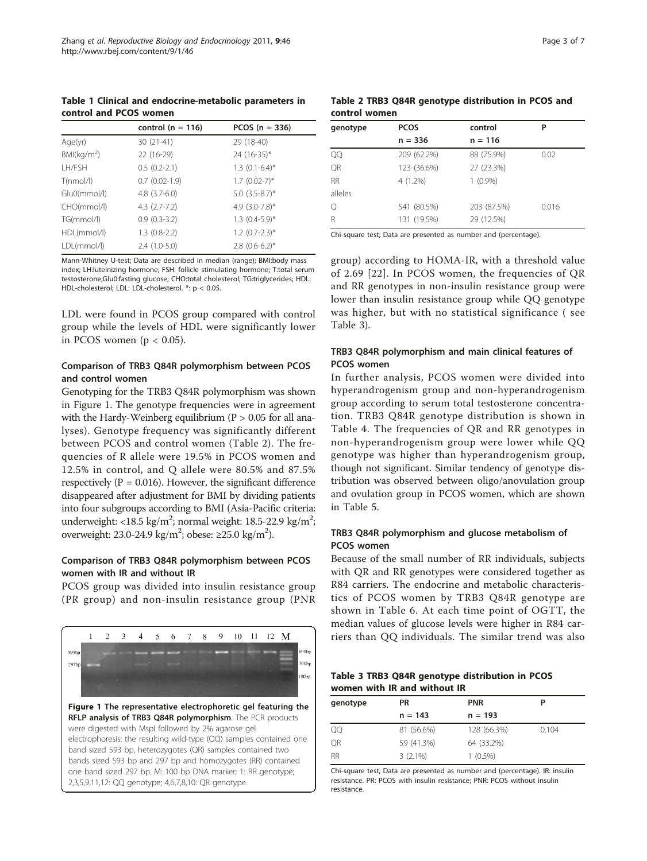<span id="page-2-0"></span>Table 1 Clinical and endocrine-metabolic parameters in control and PCOS women

|                        | control ( $n = 116$ ) | PCOS $(n = 336)$    |
|------------------------|-----------------------|---------------------|
| Age(yr)                | 30 (21-41)            | 29 (18-40)          |
| BM(kq/m <sup>2</sup> ) | 22 (16-29)            | 24 (16-35)*         |
| LH/FSH                 | $0.5(0.2-2.1)$        | $1.3$ $(0.1-6.4)$ * |
| T(nmol/l)              | $0.7$ $(0.02-1.9)$    | $1.7$ (0.02-7)*     |
| Glu0(mmol/l)           | $4.8$ $(3.7-6.0)$     | $5.0$ $(3.5-8.7)$ * |
| CHO(mmol/l)            | $4.3(2.7-7.2)$        | 4.9 $(3.0 - 7.8)^*$ |
| TG(mmol/l)             | $0.9(0.3-3.2)$        | $1.3$ $(0.4-5.9)$ * |
| HDL(mmol/l)            | $1.3(0.8-2.2)$        | $1.2$ (0.7-2.3)*    |
| LDL(mmol/l)            | $2.4(1.0-5.0)$        | $2.8$ (0.6-6.2)*    |

Mann-Whitney U-test; Data are described in median (range); BMI:body mass index; LH:luteinizing hormone; FSH: follicle stimulating hormone; T:total serum testosterone;Glu0:fasting glucose; CHO:total cholesterol; TG:triglycerides; HDL: HDL-cholesterol; LDL: LDL-cholesterol. \*: p < 0.05.

LDL were found in PCOS group compared with control group while the levels of HDL were significantly lower in PCOS women ( $p < 0.05$ ).

## Comparison of TRB3 Q84R polymorphism between PCOS and control women

Genotyping for the TRB3 Q84R polymorphism was shown in Figure 1. The genotype frequencies were in agreement with the Hardy-Weinberg equilibrium ( $P > 0.05$  for all analyses). Genotype frequency was significantly different between PCOS and control women (Table 2). The frequencies of R allele were 19.5% in PCOS women and 12.5% in control, and Q allele were 80.5% and 87.5% respectively ( $P = 0.016$ ). However, the significant difference disappeared after adjustment for BMI by dividing patients into four subgroups according to BMI (Asia-Pacific criteria: underweight: <18.5 kg/m<sup>2</sup>; normal weight: 18.5-22.9 kg/m<sup>2</sup>; overweight: 23.0-24.9 kg/m<sup>2</sup>; obese:  $\geq$ 25.0 kg/m<sup>2</sup>).

## Comparison of TRB3 Q84R polymorphism between PCOS women with IR and without IR

PCOS group was divided into insulin resistance group (PR group) and non-insulin resistance group (PNR



|               |  |  | Table 2 TRB3 Q84R genotype distribution in PCOS and |  |  |
|---------------|--|--|-----------------------------------------------------|--|--|
| control women |  |  |                                                     |  |  |

| genotype  | <b>PCOS</b> | control     | P     |
|-----------|-------------|-------------|-------|
|           | $n = 336$   | $n = 116$   |       |
| QQ        | 209 (62.2%) | 88 (75.9%)  | 0.02  |
| QR        | 123 (36.6%) | 27 (23.3%)  |       |
| <b>RR</b> | 4 (1.2%)    | $1(0.9\%)$  |       |
| alleles   |             |             |       |
| Q         | 541 (80.5%) | 203 (87.5%) | 0.016 |
| R         | 131 (19.5%) | 29 (12.5%)  |       |

Chi-square test; Data are presented as number and (percentage).

group) according to HOMA-IR, with a threshold value of 2.69 [[22](#page-5-0)]. In PCOS women, the frequencies of QR and RR genotypes in non-insulin resistance group were lower than insulin resistance group while QQ genotype was higher, but with no statistical significance ( see Table 3).

## TRB3 Q84R polymorphism and main clinical features of PCOS women

In further analysis, PCOS women were divided into hyperandrogenism group and non-hyperandrogenism group according to serum total testosterone concentration. TRB3 Q84R genotype distribution is shown in Table [4](#page-3-0). The frequencies of QR and RR genotypes in non-hyperandrogenism group were lower while QQ genotype was higher than hyperandrogenism group, though not significant. Similar tendency of genotype distribution was observed between oligo/anovulation group and ovulation group in PCOS women, which are shown in Table [5.](#page-3-0)

## TRB3 Q84R polymorphism and glucose metabolism of PCOS women

Because of the small number of RR individuals, subjects with QR and RR genotypes were considered together as R84 carriers. The endocrine and metabolic characteristics of PCOS women by TRB3 Q84R genotype are shown in Table [6.](#page-3-0) At each time point of OGTT, the median values of glucose levels were higher in R84 carriers than QQ individuals. The similar trend was also

|  |                              | Table 3 TRB3 Q84R genotype distribution in PCOS |  |
|--|------------------------------|-------------------------------------------------|--|
|  | women with IR and without IR |                                                 |  |

| genotype  | <b>PR</b>  | <b>PNR</b>  | P     |
|-----------|------------|-------------|-------|
|           | $n = 143$  | $n = 193$   |       |
| QQ        | 81 (56.6%) | 128 (66.3%) | 0.104 |
| QR        | 59 (41.3%) | 64 (33.2%)  |       |
| <b>RR</b> | $3(2.1\%)$ | $1(0.5\%)$  |       |

Chi-square test; Data are presented as number and (percentage). IR: insulin resistance. PR: PCOS with insulin resistance; PNR: PCOS without insulin resistance.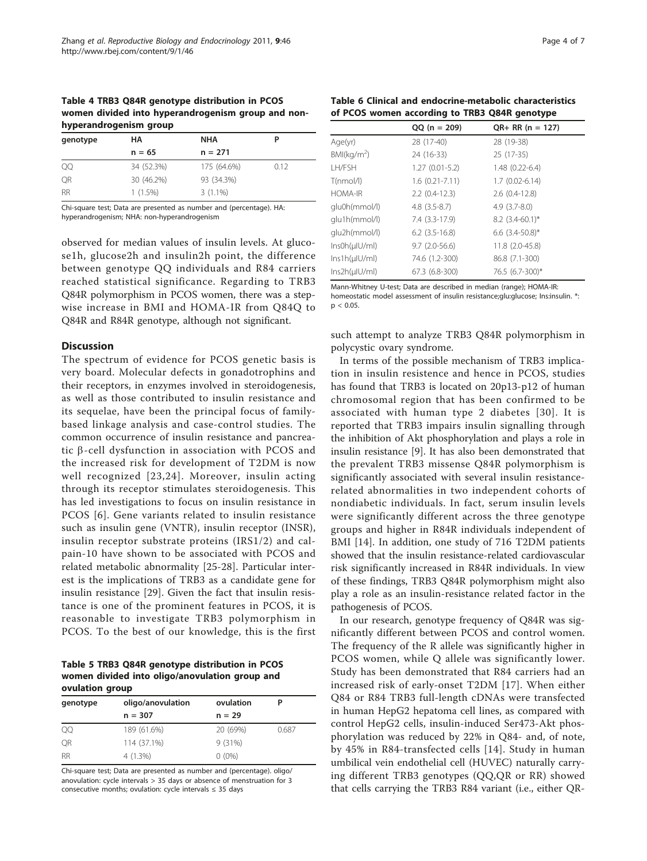<span id="page-3-0"></span>Table 4 TRB3 Q84R genotype distribution in PCOS women divided into hyperandrogenism group and nonhyperandrogenism group

| genotype  | НA         | <b>NHA</b>  |      |
|-----------|------------|-------------|------|
|           | $n = 65$   | $n = 271$   |      |
| QQ        | 34 (52.3%) | 175 (64.6%) | 0.12 |
| <b>OR</b> | 30 (46.2%) | 93 (34.3%)  |      |
| <b>RR</b> | $1(1.5\%)$ | $3(1.1\%)$  |      |

Chi-square test; Data are presented as number and (percentage). HA: hyperandrogenism; NHA: non-hyperandrogenism

observed for median values of insulin levels. At glucose1h, glucose2h and insulin2h point, the difference between genotype QQ individuals and R84 carriers reached statistical significance. Regarding to TRB3 Q84R polymorphism in PCOS women, there was a stepwise increase in BMI and HOMA-IR from Q84Q to Q84R and R84R genotype, although not significant.

#### **Discussion**

The spectrum of evidence for PCOS genetic basis is very board. Molecular defects in gonadotrophins and their receptors, in enzymes involved in steroidogenesis, as well as those contributed to insulin resistance and its sequelae, have been the principal focus of familybased linkage analysis and case-control studies. The common occurrence of insulin resistance and pancreatic  $\beta$ -cell dysfunction in association with PCOS and the increased risk for development of T2DM is now well recognized [[23,24](#page-5-0)]. Moreover, insulin acting through its receptor stimulates steroidogenesis. This has led investigations to focus on insulin resistance in PCOS [[6\]](#page-5-0). Gene variants related to insulin resistance such as insulin gene (VNTR), insulin receptor (INSR), insulin receptor substrate proteins (IRS1/2) and calpain-10 have shown to be associated with PCOS and related metabolic abnormality [[25](#page-5-0)-[28\]](#page-5-0). Particular interest is the implications of TRB3 as a candidate gene for insulin resistance [[29\]](#page-5-0). Given the fact that insulin resistance is one of the prominent features in PCOS, it is reasonable to investigate TRB3 polymorphism in PCOS. To the best of our knowledge, this is the first

Table 5 TRB3 Q84R genotype distribution in PCOS women divided into oligo/anovulation group and ovulation group

| genotype  | oligo/anovulation | ovulation |       |  |
|-----------|-------------------|-----------|-------|--|
|           | $n = 307$         | $n = 29$  |       |  |
| QQ        | 189 (61.6%)       | 20 (69%)  | 0.687 |  |
| OR        | 114 (37.1%)       | 9(31%)    |       |  |
| <b>RR</b> | $4(1.3\%)$        | $0(0\%)$  |       |  |
|           |                   |           |       |  |

Chi-square test; Data are presented as number and (percentage). oligo/ anovulation: cycle intervals > 35 days or absence of menstruation for 3 consecutive months; ovulation: cycle intervals ≤ 35 days

| Table 6 Clinical and endocrine-metabolic characteristics |  |
|----------------------------------------------------------|--|
| of PCOS women according to TRB3 Q84R genotype            |  |

|                        | $QQ (n = 209)$       | $QR+RR (n = 127)$      |
|------------------------|----------------------|------------------------|
| Age(yr)                | 28 (17-40)           | 28 (19-38)             |
| BM(kq/m <sup>2</sup> ) | 24 (16-33)           | 25 (17-35)             |
| LH/FSH                 | $1.27(0.01-5.2)$     | $1.48(0.22-6.4)$       |
| T(nmol/l)              | $1.6(0.21 - 7.11)$   | $1.7(0.02 - 6.14)$     |
| <b>HOMA-IR</b>         | $2.2$ (0.4-12.3)     | $2.6$ $(0.4-12.8)$     |
| glu0h(mmol/l)          | $4.8$ $(3.5-8.7)$    | $4.9$ $(3.7-8.0)$      |
| glu1h(mmol/l)          | 7.4 (3.3-17.9)       | $8.2$ (3.4-60.1)*      |
| qlu2h(mmol/l)          | $6.2$ $(3.5 - 16.8)$ | $6.6$ $(3.4 - 50.8)$ * |
| $InsOh(\mu U/m)$       | $9.7(2.0-56.6)$      | 11.8 (2.0-45.8)        |
| $lns1h(\mu U/m)$       | 74.6 (1.2-300)       | 86.8 (7.1-300)         |
| $Ins2h(\mu U/m)$       | 67.3 (6.8-300)       | 76.5 (6.7-300)*        |

Mann-Whitney U-test; Data are described in median (range); HOMA-IR: homeostatic model assessment of insulin resistance;glu:glucose; Ins:insulin. \*:  $p < 0.05$ .

such attempt to analyze TRB3 Q84R polymorphism in polycystic ovary syndrome.

In terms of the possible mechanism of TRB3 implication in insulin resistence and hence in PCOS, studies has found that TRB3 is located on 20p13-p12 of human chromosomal region that has been confirmed to be associated with human type 2 diabetes [[30\]](#page-5-0). It is reported that TRB3 impairs insulin signalling through the inhibition of Akt phosphorylation and plays a role in insulin resistance [[9\]](#page-5-0). It has also been demonstrated that the prevalent TRB3 missense Q84R polymorphism is significantly associated with several insulin resistancerelated abnormalities in two independent cohorts of nondiabetic individuals. In fact, serum insulin levels were significantly different across the three genotype groups and higher in R84R individuals independent of BMI [[14\]](#page-5-0). In addition, one study of 716 T2DM patients showed that the insulin resistance-related cardiovascular risk significantly increased in R84R individuals. In view of these findings, TRB3 Q84R polymorphism might also play a role as an insulin-resistance related factor in the pathogenesis of PCOS.

In our research, genotype frequency of Q84R was significantly different between PCOS and control women. The frequency of the R allele was significantly higher in PCOS women, while Q allele was significantly lower. Study has been demonstrated that R84 carriers had an increased risk of early-onset T2DM [\[17\]](#page-5-0). When either Q84 or R84 TRB3 full-length cDNAs were transfected in human HepG2 hepatoma cell lines, as compared with control HepG2 cells, insulin-induced Ser473-Akt phosphorylation was reduced by 22% in Q84- and, of note, by 45% in R84-transfected cells [[14](#page-5-0)]. Study in human umbilical vein endothelial cell (HUVEC) naturally carrying different TRB3 genotypes (QQ,QR or RR) showed that cells carrying the TRB3 R84 variant (i.e., either QR-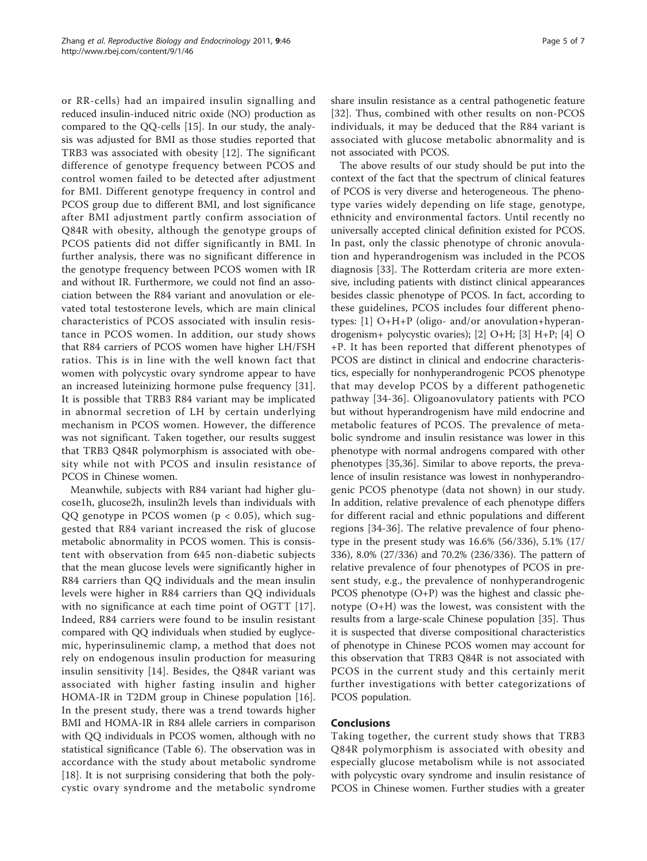or RR-cells) had an impaired insulin signalling and reduced insulin-induced nitric oxide (NO) production as compared to the QQ-cells [[15\]](#page-5-0). In our study, the analysis was adjusted for BMI as those studies reported that TRB3 was associated with obesity [[12\]](#page-5-0). The significant difference of genotype frequency between PCOS and control women failed to be detected after adjustment for BMI. Different genotype frequency in control and PCOS group due to different BMI, and lost significance after BMI adjustment partly confirm association of Q84R with obesity, although the genotype groups of PCOS patients did not differ significantly in BMI. In further analysis, there was no significant difference in the genotype frequency between PCOS women with IR and without IR. Furthermore, we could not find an association between the R84 variant and anovulation or elevated total testosterone levels, which are main clinical characteristics of PCOS associated with insulin resistance in PCOS women. In addition, our study shows that R84 carriers of PCOS women have higher LH/FSH ratios. This is in line with the well known fact that women with polycystic ovary syndrome appear to have an increased luteinizing hormone pulse frequency [[31](#page-5-0)]. It is possible that TRB3 R84 variant may be implicated in abnormal secretion of LH by certain underlying mechanism in PCOS women. However, the difference was not significant. Taken together, our results suggest that TRB3 Q84R polymorphism is associated with obesity while not with PCOS and insulin resistance of PCOS in Chinese women.

Meanwhile, subjects with R84 variant had higher glucose1h, glucose2h, insulin2h levels than individuals with QQ genotype in PCOS women ( $p < 0.05$ ), which suggested that R84 variant increased the risk of glucose metabolic abnormality in PCOS women. This is consistent with observation from 645 non-diabetic subjects that the mean glucose levels were significantly higher in R84 carriers than QQ individuals and the mean insulin levels were higher in R84 carriers than QQ individuals with no significance at each time point of OGTT [[17](#page-5-0)]. Indeed, R84 carriers were found to be insulin resistant compared with QQ individuals when studied by euglycemic, hyperinsulinemic clamp, a method that does not rely on endogenous insulin production for measuring insulin sensitivity [\[14\]](#page-5-0). Besides, the Q84R variant was associated with higher fasting insulin and higher HOMA-IR in T2DM group in Chinese population [[16](#page-5-0)]. In the present study, there was a trend towards higher BMI and HOMA-IR in R84 allele carriers in comparison with QQ individuals in PCOS women, although with no statistical significance (Table [6\)](#page-3-0). The observation was in accordance with the study about metabolic syndrome [[18\]](#page-5-0). It is not surprising considering that both the polycystic ovary syndrome and the metabolic syndrome

share insulin resistance as a central pathogenetic feature [[32](#page-5-0)]. Thus, combined with other results on non-PCOS individuals, it may be deduced that the R84 variant is associated with glucose metabolic abnormality and is not associated with PCOS.

The above results of our study should be put into the context of the fact that the spectrum of clinical features of PCOS is very diverse and heterogeneous. The phenotype varies widely depending on life stage, genotype, ethnicity and environmental factors. Until recently no universally accepted clinical definition existed for PCOS. In past, only the classic phenotype of chronic anovulation and hyperandrogenism was included in the PCOS diagnosis [[33](#page-6-0)]. The Rotterdam criteria are more extensive, including patients with distinct clinical appearances besides classic phenotype of PCOS. In fact, according to these guidelines, PCOS includes four different phenotypes: [\[1](#page-5-0)] O+H+P (oligo- and/or anovulation+hyperandrogenism+ polycystic ovaries); [[2\]](#page-5-0) O+H; [[3\]](#page-5-0) H+P; [[4](#page-5-0)] O +P. It has been reported that different phenotypes of PCOS are distinct in clinical and endocrine characteristics, especially for nonhyperandrogenic PCOS phenotype that may develop PCOS by a different pathogenetic pathway [[34](#page-6-0)-[36](#page-6-0)]. Oligoanovulatory patients with PCO but without hyperandrogenism have mild endocrine and metabolic features of PCOS. The prevalence of metabolic syndrome and insulin resistance was lower in this phenotype with normal androgens compared with other phenotypes [\[35](#page-6-0),[36](#page-6-0)]. Similar to above reports, the prevalence of insulin resistance was lowest in nonhyperandrogenic PCOS phenotype (data not shown) in our study. In addition, relative prevalence of each phenotype differs for different racial and ethnic populations and different regions [[34-36\]](#page-6-0). The relative prevalence of four phenotype in the present study was 16.6% (56/336), 5.1% (17/ 336), 8.0% (27/336) and 70.2% (236/336). The pattern of relative prevalence of four phenotypes of PCOS in present study, e.g., the prevalence of nonhyperandrogenic PCOS phenotype  $(O+P)$  was the highest and classic phenotype (O+H) was the lowest, was consistent with the results from a large-scale Chinese population [[35\]](#page-6-0). Thus it is suspected that diverse compositional characteristics of phenotype in Chinese PCOS women may account for this observation that TRB3 Q84R is not associated with PCOS in the current study and this certainly merit further investigations with better categorizations of PCOS population.

### Conclusions

Taking together, the current study shows that TRB3 Q84R polymorphism is associated with obesity and especially glucose metabolism while is not associated with polycystic ovary syndrome and insulin resistance of PCOS in Chinese women. Further studies with a greater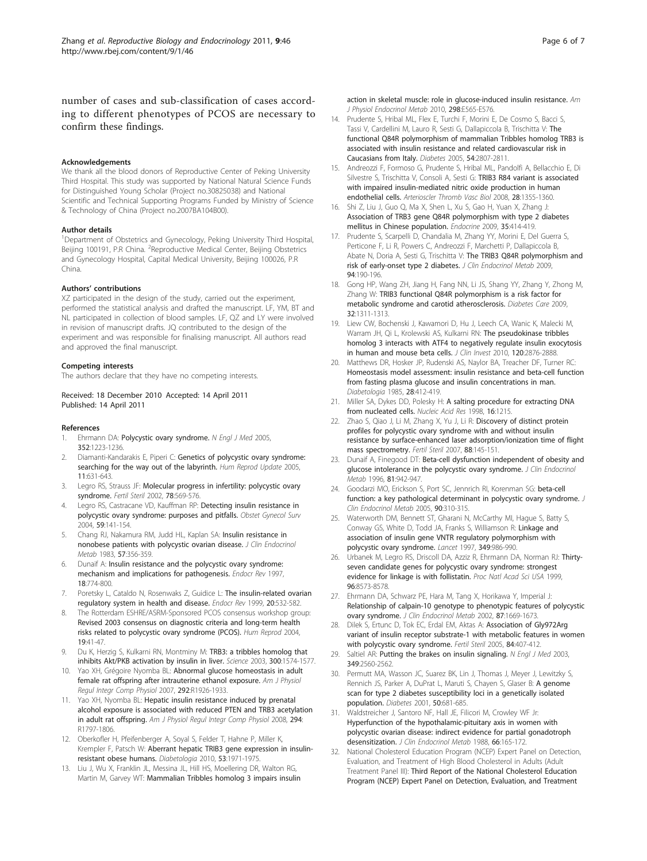<span id="page-5-0"></span>number of cases and sub-classification of cases according to different phenotypes of PCOS are necessary to confirm these findings.

#### Acknowledgements

We thank all the blood donors of Reproductive Center of Peking University Third Hospital. This study was supported by National Natural Science Funds for Distinguished Young Scholar (Project no.30825038) and National Scientific and Technical Supporting Programs Funded by Ministry of Science & Technology of China (Project no.2007BA104B00).

#### Author details

<sup>1</sup>Department of Obstetrics and Gynecology, Peking University Third Hospital, Beijing 100191, P.R China. <sup>2</sup>Reproductive Medical Center, Beijing Obstetrics and Gynecology Hospital, Capital Medical University, Beijing 100026, P.R China.

#### Authors' contributions

XZ participated in the design of the study, carried out the experiment, performed the statistical analysis and drafted the manuscript. LF, YM, BT and NL participated in collection of blood samples. LF, QZ and LY were involved in revision of manuscript drafts. JQ contributed to the design of the experiment and was responsible for finalising manuscript. All authors read and approved the final manuscript.

#### Competing interests

The authors declare that they have no competing interests.

#### Received: 18 December 2010 Accepted: 14 April 2011 Published: 14 April 2011

#### References

- 1. Ehrmann DA: [Polycystic ovary syndrome.](http://www.ncbi.nlm.nih.gov/pubmed/15788499?dopt=Abstract) N Engl J Med 2005, 352:1223-1236.
- Diamanti-Kandarakis E, Piperi C: [Genetics of polycystic ovary syndrome:](http://www.ncbi.nlm.nih.gov/pubmed/15994846?dopt=Abstract) [searching for the way out of the labyrinth.](http://www.ncbi.nlm.nih.gov/pubmed/15994846?dopt=Abstract) Hum Reprod Update 2005, 11:631-643.
- 3. Legro RS, Strauss JF: [Molecular progress in infertility: polycystic ovary](http://www.ncbi.nlm.nih.gov/pubmed/12215335?dopt=Abstract) [syndrome.](http://www.ncbi.nlm.nih.gov/pubmed/12215335?dopt=Abstract) Fertil Steril 2002, 78:569-576.
- 4. Legro RS, Castracane VD, Kauffman RP: [Detecting insulin resistance in](http://www.ncbi.nlm.nih.gov/pubmed/14752302?dopt=Abstract) [polycystic ovary syndrome: purposes and pitfalls.](http://www.ncbi.nlm.nih.gov/pubmed/14752302?dopt=Abstract) Obstet Gynecol Surv 2004, 59:141-154.
- 5. Chang RJ, Nakamura RM, Judd HL, Kaplan SA: [Insulin resistance in](http://www.ncbi.nlm.nih.gov/pubmed/6223044?dopt=Abstract) [nonobese patients with polycystic ovarian disease.](http://www.ncbi.nlm.nih.gov/pubmed/6223044?dopt=Abstract) J Clin Endocrinol Metab 1983, 57:356-359.
- 6. Dunaif A: [Insulin resistance and the polycystic ovary syndrome:](http://www.ncbi.nlm.nih.gov/pubmed/9408743?dopt=Abstract) [mechanism and implications for pathogenesis.](http://www.ncbi.nlm.nih.gov/pubmed/9408743?dopt=Abstract) Endocr Rev 1997, 18:774-800.
- 7. Poretsky L, Cataldo N, Rosenwaks Z, Guidice L: The insulin-related ovarian regulatory system in health and disease. Endocr Rev 1999, 20:532-582.
- The Rotterdam ESHRE/ASRM-Sponsored PCOS consensus workshop group: [Revised 2003 consensus on diagnostic criteria and long-term health](http://www.ncbi.nlm.nih.gov/pubmed/14688154?dopt=Abstract) [risks related to polycystic ovary syndrome \(PCOS\).](http://www.ncbi.nlm.nih.gov/pubmed/14688154?dopt=Abstract) Hum Reprod 2004, 19:41-47.
- Du K, Herzig S, Kulkarni RN, Montminy M: [TRB3: a tribbles homolog that](http://www.ncbi.nlm.nih.gov/pubmed/12791994?dopt=Abstract) [inhibits Akt/PKB activation by insulin in liver.](http://www.ncbi.nlm.nih.gov/pubmed/12791994?dopt=Abstract) Science 2003, 300:1574-1577.
- 10. Yao XH, Grégoire Nyomba BL: [Abnormal glucose homeostasis in adult](http://www.ncbi.nlm.nih.gov/pubmed/17218436?dopt=Abstract) [female rat offspring after intrauterine ethanol exposure.](http://www.ncbi.nlm.nih.gov/pubmed/17218436?dopt=Abstract) Am J Physiol Regul Integr Comp Physiol 2007, 292:R1926-1933.
- 11. Yao XH, Nyomba BL: [Hepatic insulin resistance induced by prenatal](http://www.ncbi.nlm.nih.gov/pubmed/18385463?dopt=Abstract) [alcohol exposure is associated with reduced PTEN and TRB3 acetylation](http://www.ncbi.nlm.nih.gov/pubmed/18385463?dopt=Abstract) [in adult rat offspring.](http://www.ncbi.nlm.nih.gov/pubmed/18385463?dopt=Abstract) Am J Physiol Regul Integr Comp Physiol 2008, 294: R1797-1806.
- 12. Oberkofler H, Pfeifenberger A, Soyal S, Felder T, Hahne P, Miller K, Krempler F, Patsch W: [Aberrant hepatic TRIB3 gene expression in insulin](http://www.ncbi.nlm.nih.gov/pubmed/20461355?dopt=Abstract)[resistant obese humans.](http://www.ncbi.nlm.nih.gov/pubmed/20461355?dopt=Abstract) Diabetologia 2010, 53:1971-1975.
- 13. Liu J, Wu X, Franklin JL, Messina JL, Hill HS, Moellering DR, Walton RG, Martin M, Garvey WT: [Mammalian Tribbles homolog 3 impairs insulin](http://www.ncbi.nlm.nih.gov/pubmed/19996382?dopt=Abstract)

[action in skeletal muscle: role in glucose-induced insulin resistance.](http://www.ncbi.nlm.nih.gov/pubmed/19996382?dopt=Abstract) Am J Physiol Endocrinol Metab 2010, 298:E565-E576.

- 14. Prudente S, Hribal ML, Flex E, Turchi F, Morini E, De Cosmo S, Bacci S, Tassi V, Cardellini M, Lauro R, Sesti G, Dallapiccola B, Trischitta V: [The](http://www.ncbi.nlm.nih.gov/pubmed/16123373?dopt=Abstract) [functional Q84R polymorphism of mammalian Tribbles homolog TRB3 is](http://www.ncbi.nlm.nih.gov/pubmed/16123373?dopt=Abstract) [associated with insulin resistance and related cardiovascular risk in](http://www.ncbi.nlm.nih.gov/pubmed/16123373?dopt=Abstract) [Caucasians from Italy.](http://www.ncbi.nlm.nih.gov/pubmed/16123373?dopt=Abstract) Diabetes 2005, 54:2807-2811.
- 15. Andreozzi F, Formoso G, Prudente S, Hribal ML, Pandolfi A, Bellacchio E, Di Silvestre S, Trischitta V, Consoli A, Sesti G: [TRIB3 R84 variant is associated](http://www.ncbi.nlm.nih.gov/pubmed/18436806?dopt=Abstract) [with impaired insulin-mediated nitric oxide production in human](http://www.ncbi.nlm.nih.gov/pubmed/18436806?dopt=Abstract) [endothelial cells.](http://www.ncbi.nlm.nih.gov/pubmed/18436806?dopt=Abstract) Arterioscler Thromb Vasc Biol 2008, 28:1355-1360.
- 16. Shi Z, Liu J, Guo Q, Ma X, Shen L, Xu S, Gao H, Yuan X, Zhang J: [Association of TRB3 gene Q84R polymorphism with type 2 diabetes](http://www.ncbi.nlm.nih.gov/pubmed/19291425?dopt=Abstract) [mellitus in Chinese population.](http://www.ncbi.nlm.nih.gov/pubmed/19291425?dopt=Abstract) Endocrine 2009, 35:414-419.
- 17. Prudente S, Scarpelli D, Chandalia M, Zhang YY, Morini E, Del Guerra S, Perticone F, Li R, Powers C, Andreozzi F, Marchetti P, Dallapiccola B, Abate N, Doria A, Sesti G, Trischitta V: [The TRIB3 Q84R polymorphism and](http://www.ncbi.nlm.nih.gov/pubmed/18984671?dopt=Abstract) [risk of early-onset type 2 diabetes.](http://www.ncbi.nlm.nih.gov/pubmed/18984671?dopt=Abstract) J Clin Endocrinol Metab 2009, 94:190-196.
- 18. Gong HP, Wang ZH, Jiang H, Fang NN, Li JS, Shang YY, Zhang Y, Zhong M, Zhang W: [TRIB3 functional Q84R polymorphism is a risk factor for](http://www.ncbi.nlm.nih.gov/pubmed/19389818?dopt=Abstract) [metabolic syndrome and carotid atherosclerosis.](http://www.ncbi.nlm.nih.gov/pubmed/19389818?dopt=Abstract) Diabetes Care 2009, 32:1311-1313.
- 19. Liew CW, Bochenski J, Kawamori D, Hu J, Leech CA, Wanic K, Malecki M, Warram JH, Qi L, Krolewski AS, Kulkarni RN: [The pseudokinase tribbles](http://www.ncbi.nlm.nih.gov/pubmed/20592469?dopt=Abstract) [homolog 3 interacts with ATF4 to negatively regulate insulin exocytosis](http://www.ncbi.nlm.nih.gov/pubmed/20592469?dopt=Abstract) [in human and mouse beta cells.](http://www.ncbi.nlm.nih.gov/pubmed/20592469?dopt=Abstract) J Clin Invest 2010, 120:2876-2888.
- 20. Matthews DR, Hosker JP, Rudenski AS, Naylor BA, Treacher DF, Turner RC: [Homeostasis model assessment: insulin resistance and beta-cell function](http://www.ncbi.nlm.nih.gov/pubmed/3899825?dopt=Abstract) [from fasting plasma glucose and insulin concentrations in man.](http://www.ncbi.nlm.nih.gov/pubmed/3899825?dopt=Abstract) Diabetologia 1985, 28:412-419.
- 21. Miller SA, Dykes DD, Polesky H: A salting procedure for extracting DNA from nucleated cells. Nucleic Acid Res 1998, 16:1215.
- 22. Zhao S, Qiao J, Li M, Zhang X, Yu J, Li R: [Discovery of distinct protein](http://www.ncbi.nlm.nih.gov/pubmed/17562338?dopt=Abstract) [profiles for polycystic ovary syndrome with and without insulin](http://www.ncbi.nlm.nih.gov/pubmed/17562338?dopt=Abstract) [resistance by surface-enhanced laser adsorption/ionization time of flight](http://www.ncbi.nlm.nih.gov/pubmed/17562338?dopt=Abstract) [mass spectrometry.](http://www.ncbi.nlm.nih.gov/pubmed/17562338?dopt=Abstract) Fertil Steril 2007, 88:145-151.
- 23. Dunaif A, Finegood DT: [Beta-cell dysfunction independent of obesity and](http://www.ncbi.nlm.nih.gov/pubmed/8772555?dopt=Abstract) [glucose intolerance in the polycystic ovary syndrome.](http://www.ncbi.nlm.nih.gov/pubmed/8772555?dopt=Abstract) J Clin Endocrinol Metab 1996, 81:942-947.
- 24. Goodarzi MO, Erickson S, Port SC, Jennrich RI, Korenman SG: [beta-cell](http://www.ncbi.nlm.nih.gov/pubmed/15507511?dopt=Abstract) [function: a key pathological determinant in polycystic ovary syndrome.](http://www.ncbi.nlm.nih.gov/pubmed/15507511?dopt=Abstract) J Clin Endocrinol Metab 2005, 90:310-315.
- 25. Waterworth DM, Bennett ST, Gharani N, McCarthy MI, Hague S, Batty S, Conway GS, White D, Todd JA, Franks S, Williamson R: [Linkage and](http://www.ncbi.nlm.nih.gov/pubmed/9100625?dopt=Abstract) [association of insulin gene VNTR regulatory polymorphism with](http://www.ncbi.nlm.nih.gov/pubmed/9100625?dopt=Abstract) [polycystic ovary syndrome.](http://www.ncbi.nlm.nih.gov/pubmed/9100625?dopt=Abstract) Lancet 1997, 349:986-990.
- 26. Urbanek M, Legro RS, Driscoll DA, Azziz R, Ehrmann DA, Norman RJ: [Thirty](http://www.ncbi.nlm.nih.gov/pubmed/10411917?dopt=Abstract)[seven candidate genes for polycystic ovary syndrome: strongest](http://www.ncbi.nlm.nih.gov/pubmed/10411917?dopt=Abstract) [evidence for linkage is with follistatin.](http://www.ncbi.nlm.nih.gov/pubmed/10411917?dopt=Abstract) Proc Natl Acad Sci USA 1999, 96:8573-8578.
- 27. Ehrmann DA, Schwarz PE, Hara M, Tang X, Horikawa Y, Imperial J: [Relationship of calpain-10 genotype to phenotypic features of polycystic](http://www.ncbi.nlm.nih.gov/pubmed/11932299?dopt=Abstract) [ovary syndrome.](http://www.ncbi.nlm.nih.gov/pubmed/11932299?dopt=Abstract) J Clin Endocrinol Metab 2002, 87:1669-1673.
- 28. Dilek S, Ertunc D, Tok EC, Erdal EM, Aktas A: [Association of Gly972Arg](http://www.ncbi.nlm.nih.gov/pubmed/16084882?dopt=Abstract) [variant of insulin receptor substrate-1 with metabolic features in women](http://www.ncbi.nlm.nih.gov/pubmed/16084882?dopt=Abstract) with [polycystic ovary syndrome.](http://www.ncbi.nlm.nih.gov/pubmed/16084882?dopt=Abstract) Fertil Steril 2005, 84:407-412.
- 29. Saltiel AR: [Putting the brakes on insulin signaling.](http://www.ncbi.nlm.nih.gov/pubmed/14695419?dopt=Abstract) N Engl J Med 2003, 349:2560-2562.
- 30. Permutt MA, Wasson JC, Suarez BK, Lin J, Thomas J, Meyer J, Lewitzky S, Rennich JS, Parker A, DuPrat L, Maruti S, Chayen S, Glaser B: [A genome](http://www.ncbi.nlm.nih.gov/pubmed/11246891?dopt=Abstract) [scan for type 2 diabetes susceptibility loci in a genetically isolated](http://www.ncbi.nlm.nih.gov/pubmed/11246891?dopt=Abstract) [population.](http://www.ncbi.nlm.nih.gov/pubmed/11246891?dopt=Abstract) Diabetes 2001, 50:681-685.
- 31. Waldstreicher J, Santoro NF, Hall JE, Filicori M, Crowley WF Jr: [Hyperfunction of the hypothalamic-pituitary axis in women with](http://www.ncbi.nlm.nih.gov/pubmed/2961784?dopt=Abstract) [polycystic ovarian disease: indirect evidence for partial gonadotroph](http://www.ncbi.nlm.nih.gov/pubmed/2961784?dopt=Abstract) [desensitization.](http://www.ncbi.nlm.nih.gov/pubmed/2961784?dopt=Abstract) J Clin Endocrinol Metab 1988, 66:165-172.
- 32. National Cholesterol Education Program (NCEP) Expert Panel on Detection, Evaluation, and Treatment of High Blood Cholesterol in Adults (Adult Treatment Panel III): [Third Report of the National Cholesterol Education](http://www.ncbi.nlm.nih.gov/pubmed/12485966?dopt=Abstract) [Program \(NCEP\) Expert Panel on Detection, Evaluation, and Treatment](http://www.ncbi.nlm.nih.gov/pubmed/12485966?dopt=Abstract)